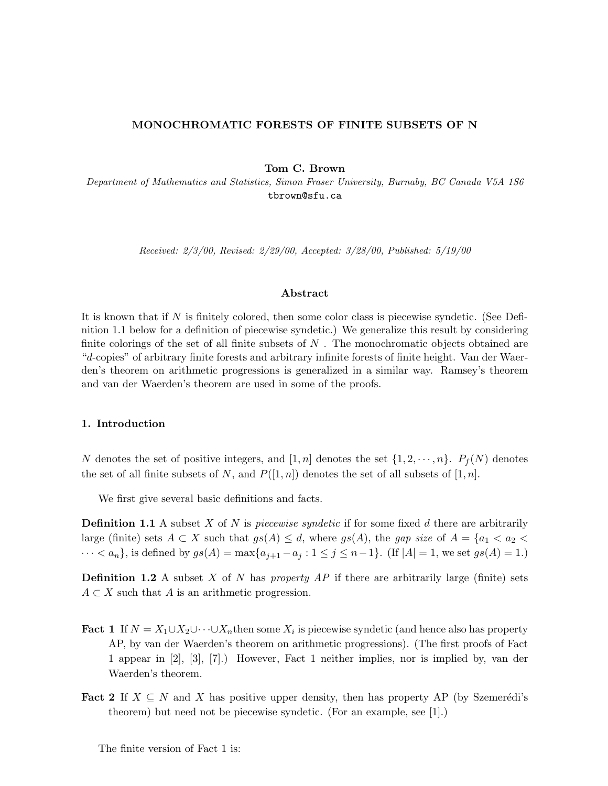#### **MONOCHROMATIC FORESTS OF FINITE SUBSETS OF N**

**Tom C. Brown**

Department of Mathematics and Statistics, Simon Fraser University, Burnaby, BC Canada V5A 1S6 tbrown@sfu.ca

Received: 2/3/00, Revised: 2/29/00, Accepted: 3/28/00, Published: 5/19/00

## **Abstract**

It is known that if *N* is finitely colored, then some color class is piecewise syndetic. (See Definition 1.1 below for a definition of piecewise syndetic.) We generalize this result by considering finite colorings of the set of all finite subsets of *N* . The monochromatic objects obtained are "*d*-copies" of arbitrary finite forests and arbitrary infinite forests of finite height. Van der Waerden's theorem on arithmetic progressions is generalized in a similar way. Ramsey's theorem and van der Waerden's theorem are used in some of the proofs.

#### **1. Introduction**

*N* denotes the set of positive integers, and [1, *n*] denotes the set  $\{1, 2, \dots, n\}$ .  $P_f(N)$  denotes the set of all finite subsets of *N*, and  $P([1, n])$  denotes the set of all subsets of  $[1, n]$ .

We first give several basic definitions and facts.

**Definition 1.1** A subset *X* of *N* is piecewise syndetic if for some fixed *d* there are arbitrarily large (finite) sets  $A \subset X$  such that  $gs(A) \leq d$ , where  $gs(A)$ , the gap size of  $A = \{a_1 < a_2 < a_3\}$  $\cdots < a_n$ , is defined by  $gs(A) = \max\{a_{j+1} - a_j : 1 \le j \le n-1\}$ . (If  $|A| = 1$ , we set  $gs(A) = 1$ .)

**Definition 1.2** A subset *X* of *N* has property AP if there are arbitrarily large (finite) sets  $A \subset X$  such that *A* is an arithmetic progression.

- **Fact 1** If  $N = X_1 \cup X_2 \cup \cdots \cup X_n$  then some  $X_i$  is piecewise syndetic (and hence also has property AP, by van der Waerden's theorem on arithmetic progressions). (The first proofs of Fact 1 appear in [2], [3], [7].) However, Fact 1 neither implies, nor is implied by, van der Waerden's theorem.
- **Fact 2** If  $X \subseteq N$  and *X* has positive upper density, then has property AP (by Szemerédi's theorem) but need not be piecewise syndetic. (For an example, see [1].)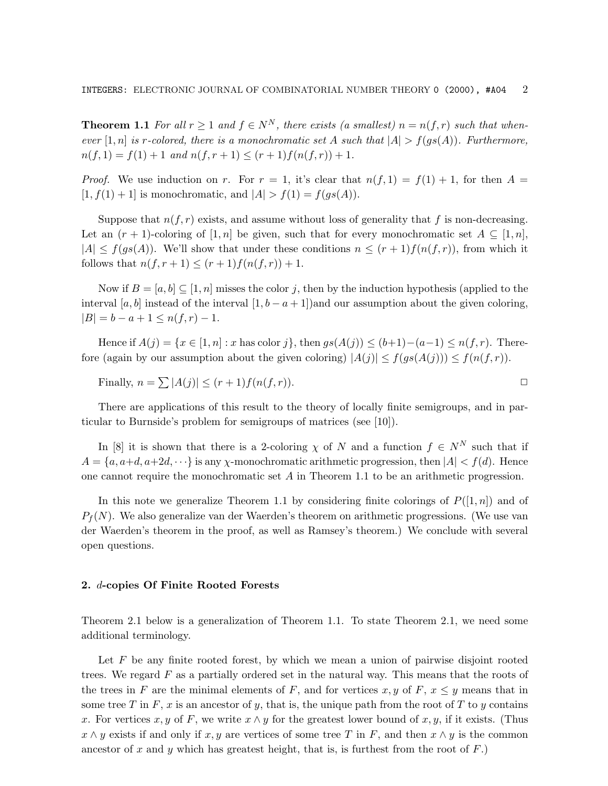**Theorem 1.1** For all  $r \geq 1$  and  $f \in N^N$ , there exists (a smallest)  $n = n(f, r)$  such that whenever  $[1, n]$  is *r*-colored, there is a monochromatic set *A* such that  $|A| > f(gs(A))$ . Furthermore,  $n(f, 1) = f(1) + 1$  and  $n(f, r + 1) \le (r + 1)f(n(f, r)) + 1$ .

*Proof.* We use induction on *r*. For  $r = 1$ , it's clear that  $n(f, 1) = f(1) + 1$ , for then  $A =$  $[1, f(1) + 1]$  is monochromatic, and  $|A| > f(1) = f(gs(A)).$ 

Suppose that  $n(f, r)$  exists, and assume without loss of generality that f is non-decreasing. Let an  $(r + 1)$ -coloring of  $[1, n]$  be given, such that for every monochromatic set  $A \subseteq [1, n]$ ,  $|A| \leq f(gs(A))$ . We'll show that under these conditions  $n \leq (r+1)f(n(f,r))$ , from which it follows that  $n(f, r + 1) \le (r + 1)f(n(f, r)) + 1$ .

Now if  $B = [a, b] \subseteq [1, n]$  misses the color *j*, then by the induction hypothesis (applied to the interval [ $a, b$ ] instead of the interval  $[1, b - a + 1]$  and our assumption about the given coloring,  $|B| = b - a + 1 \leq n(f,r) - 1.$ 

Hence if  $A(j) = \{x \in [1, n] : x \text{ has color } j\}$ , then  $gs(A(j)) \le (b+1)-(a-1) \le n(f, r)$ . Therefore (again by our assumption about the given coloring)  $|A(j)| \leq f(gs(A(j))) \leq f(n(f,r)).$ 

Finally,  $n = \sum |A(j)| \le (r+1) f(n(f,r)).$ 

There are applications of this result to the theory of locally finite semigroups, and in particular to Burnside's problem for semigroups of matrices (see [10]).

In [8] it is shown that there is a 2-coloring  $\chi$  of *N* and a function  $f \in N^N$  such that if  $A = \{a, a+d, a+2d, \dots\}$  is any *χ*-monochromatic arithmetic progression, then  $|A| < f(d)$ . Hence one cannot require the monochromatic set *A* in Theorem 1.1 to be an arithmetic progression.

In this note we generalize Theorem 1.1 by considering finite colorings of  $P([1, n])$  and of  $P_f(N)$ . We also generalize van der Waerden's theorem on arithmetic progressions. (We use van der Waerden's theorem in the proof, as well as Ramsey's theorem.) We conclude with several open questions.

## **2.** *d***-copies Of Finite Rooted Forests**

Theorem 2.1 below is a generalization of Theorem 1.1. To state Theorem 2.1, we need some additional terminology.

Let *F* be any finite rooted forest, by which we mean a union of pairwise disjoint rooted trees. We regard *F* as a partially ordered set in the natural way. This means that the roots of the trees in *F* are the minimal elements of *F*, and for vertices *x*, *y* of *F*,  $x \leq y$  means that in some tree *T* in  $F$ ,  $x$  is an ancestor of  $y$ , that is, the unique path from the root of  $T$  to  $y$  contains *x*. For vertices *x, y* of *F*, we write  $x \wedge y$  for the greatest lower bound of *x, y,* if it exists. (Thus  $x \wedge y$  exists if and only if *x, y* are vertices of some tree *T* in *F*, and then  $x \wedge y$  is the common ancestor of *x* and *y* which has greatest height, that is, is furthest from the root of  $F$ .)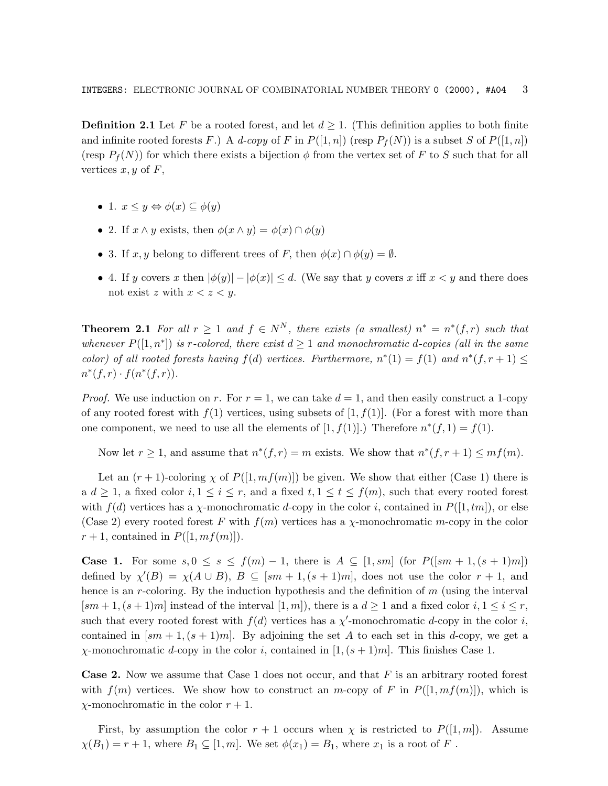**Definition 2.1** Let *F* be a rooted forest, and let  $d \geq 1$ . (This definition applies to both finite and infinite rooted forests *F*.) A d-copy of *F* in  $P([1, n])$  (resp  $P_f(N)$ ) is a subset *S* of  $P([1, n])$ (resp  $P_f(N)$ ) for which there exists a bijection  $\phi$  from the vertex set of *F* to *S* such that for all vertices  $x, y$  of  $F$ ,

- 1.  $x \leq y \Leftrightarrow \phi(x) \subseteq \phi(y)$
- 2. If  $x \wedge y$  exists, then  $\phi(x \wedge y) = \phi(x) \cap \phi(y)$
- 3. If  $x, y$  belong to different trees of *F*, then  $\phi(x) \cap \phi(y) = \emptyset$ .
- 4. If *y* covers *x* then  $|\phi(y)| |\phi(x)| \le d$ . (We say that *y* covers *x* iff  $x < y$  and there does not exist *z* with  $x < z < y$ .

**Theorem 2.1** For all  $r \geq 1$  and  $f \in N^N$ , there exists (a smallest)  $n^* = n^*(f,r)$  such that whenever  $P([1, n^*])$  is *r*-colored, there exist  $d \geq 1$  and monochromatic *d*-copies (all in the same color) of all rooted forests having  $f(d)$  vertices. Furthermore,  $n*(1) = f(1)$  and  $n*(f, r + 1) \le$  $n^*(f,r) \cdot f(n^*(f,r)).$ 

*Proof.* We use induction on *r*. For  $r = 1$ , we can take  $d = 1$ , and then easily construct a 1-copy of any rooted forest with  $f(1)$  vertices, using subsets of  $[1, f(1)]$ . (For a forest with more than one component, we need to use all the elements of  $[1, f(1)]$ .) Therefore  $n^*(f, 1) = f(1)$ .

Now let  $r \geq 1$ , and assume that  $n^*(f,r) = m$  exists. We show that  $n^*(f,r+1) \leq mf(m)$ .

Let an  $(r + 1)$ -coloring  $\chi$  of  $P([1, mf(m)])$  be given. We show that either (Case 1) there is a  $d \geq 1$ , a fixed color  $i, 1 \leq i \leq r$ , and a fixed  $t, 1 \leq t \leq f(m)$ , such that every rooted forest with  $f(d)$  vertices has a *χ*-monochromatic *d*-copy in the color *i*, contained in  $P([1,tm])$ , or else (Case 2) every rooted forest *F* with *f*(*m*) vertices has a *χ*-monochromatic *m*-copy in the color  $r+1$ , contained in  $P([1, mf(m))$ .

**Case 1.** For some *s*, 0 ≤ *s* ≤ *f*(*m*) − 1, there is *A* ⊆ [1*, sm*] (for *P*([*sm* + 1*,*(*s* + 1)*m*]) defined by  $\chi'(B) = \chi(A \cup B)$ ,  $B \subseteq [sm + 1, (s + 1)m]$ , does not use the color  $r + 1$ , and hence is an *r*-coloring. By the induction hypothesis and the definition of *m* (using the interval  $[sm+1,(s+1)m]$  instead of the interval  $[1,m]$ , there is a  $d \geq 1$  and a fixed color  $i, 1 \leq i \leq r$ , such that every rooted forest with  $f(d)$  vertices has a  $\chi'$ -monochromatic *d*-copy in the color *i*, contained in  $\left[\text{sm}+1,\left(s+1\right)\text{m}\right]$ . By adjoining the set *A* to each set in this *d*-copy, we get a *χ*-monochromatic *d*-copy in the color *i*, contained in [1*,*(*s* + 1)*m*]. This finishes Case 1.

**Case 2.** Now we assume that Case 1 does not occur, and that *F* is an arbitrary rooted forest with  $f(m)$  vertices. We show how to construct an *m*-copy of F in  $P([1, mf(m)])$ , which is *χ*-monochromatic in the color *r* + 1.

First, by assumption the color  $r + 1$  occurs when  $\chi$  is restricted to  $P([1, m])$ . Assume  $\chi(B_1) = r + 1$ , where  $B_1 \subseteq [1, m]$ . We set  $\phi(x_1) = B_1$ , where  $x_1$  is a root of *F*.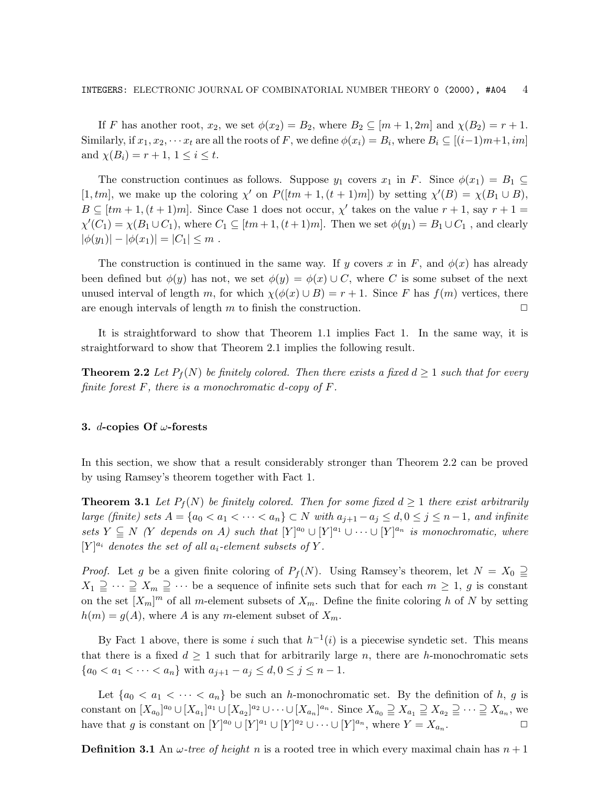If *F* has another root,  $x_2$ , we set  $\phi(x_2) = B_2$ , where  $B_2 \subseteq [m+1, 2m]$  and  $\chi(B_2) = r+1$ . Similarly, if  $x_1, x_2, \dots x_t$  are all the roots of *F*, we define  $\phi(x_i) = B_i$ , where  $B_i \subseteq [(i-1)m+1, im]$ and  $\chi(B_i) = r + 1, 1 \leq i \leq t$ .

The construction continues as follows. Suppose  $y_1$  covers  $x_1$  in *F*. Since  $\phi(x_1) = B_1 \subseteq$  $[P(t,tm],$  we make up the coloring  $\chi'$  on  $P([tm+1,(t+1)m])$  by setting  $\chi'(B) = \chi(B_1 \cup B)$ ,  $B \subseteq [tm+1, (t+1)m]$ . Since Case 1 does not occur,  $\chi'$  takes on the value  $r+1$ , say  $r+1=$  $\chi'(C_1) = \chi(B_1 \cup C_1)$ , where  $C_1 \subseteq [tm+1, (t+1)m]$ . Then we set  $\phi(y_1) = B_1 \cup C_1$ , and clearly  $|\phi(y_1)| - |\phi(x_1)| = |C_1| \leq m$ .

The construction is continued in the same way. If *y* covers *x* in *F*, and  $\phi(x)$  has already been defined but  $\phi(y)$  has not, we set  $\phi(y) = \phi(x) \cup C$ , where *C* is some subset of the next unused interval of length *m*, for which  $\chi(\phi(x) \cup B) = r + 1$ . Since *F* has  $f(m)$  vertices, there are enough intervals of length  $m$  to finish the construction.  $\Box$ 

It is straightforward to show that Theorem 1.1 implies Fact 1. In the same way, it is straightforward to show that Theorem 2.1 implies the following result.

**Theorem 2.2** Let  $P_f(N)$  be finitely colored. Then there exists a fixed  $d \geq 1$  such that for every finite forest *F*, there is a monochromatic *d*-copy of *F*.

#### **3.** *d***-copies Of** *ω***-forests**

In this section, we show that a result considerably stronger than Theorem 2.2 can be proved by using Ramsey's theorem together with Fact 1.

**Theorem 3.1** Let  $P_f(N)$  be finitely colored. Then for some fixed  $d \geq 1$  there exist arbitrarily *large (finite) sets*  $A = \{a_0 < a_1 < \cdots < a_n\}$  ⊂ *N* with  $a_{j+1} - a_j \leq d, 0 \leq j \leq n-1$ , and infinite sets  $Y \subseteq N$  (*Y* depends on *A*) such that  $[Y]^{a_0} \cup [Y]^{a_1} \cup \cdots \cup [Y]^{a_n}$  is monochromatic, where  $[Y]^{a_i}$  denotes the set of all  $a_i$ -element subsets of  $Y$ .

*Proof.* Let *g* be a given finite coloring of  $P_f(N)$ . Using Ramsey's theorem, let  $N = X_0 \supseteqeq X_0$  $X_1 \supseteqeq \cdots \supseteqeq X_m \supseteqeq \cdots$  be a sequence of infinite sets such that for each  $m \geq 1$ , *g* is constant on the set  $[X_m]^m$  of all *m*-element subsets of  $X_m$ . Define the finite coloring *h* of *N* by setting  $h(m) = g(A)$ , where *A* is any *m*-element subset of  $X_m$ .

By Fact 1 above, there is some *i* such that  $h^{-1}(i)$  is a piecewise syndetic set. This means that there is a fixed  $d \geq 1$  such that for arbitrarily large *n*, there are *h*-monochromatic sets  ${a_0 < a_1 < \cdots < a_n}$  with  $a_{j+1} - a_j \leq d, 0 \leq j \leq n-1$ .

Let  $\{a_0 < a_1 < \cdots < a_n\}$  be such an *h*-monochromatic set. By the definition of *h*, *g* is constant on  $[X_{a_0}]^{a_0} \cup [X_{a_1}]^{a_1} \cup [X_{a_2}]^{a_2} \cup \cdots \cup [X_{a_n}]^{a_n}$ . Since  $X_{a_0} \supseteq X_{a_1} \supseteq X_{a_2} \supseteq \cdots \supseteq X_{a_n}$ , we have that *g* is constant on  $[Y]^{a_0} \cup [Y]^{a_1} \cup [Y]^{a_2} \cup \cdots \cup [Y]^{a_n}$ , where  $Y = X_{a_n}$ .

**Definition 3.1** An  $\omega$ -tree of height *n* is a rooted tree in which every maximal chain has  $n+1$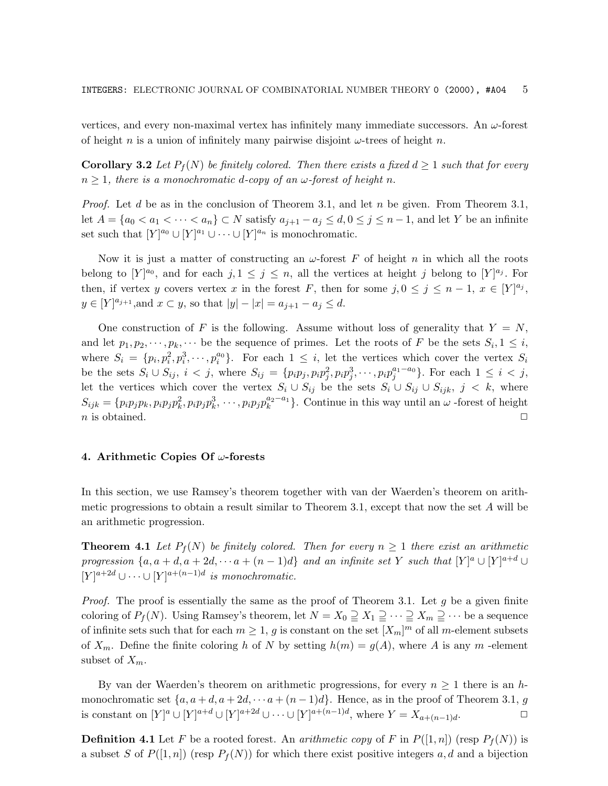vertices, and every non-maximal vertex has infinitely many immediate successors. An *ω*-forest of height *n* is a union of infinitely many pairwise disjoint *ω*-trees of height *n*.

**Corollary 3.2** Let  $P_f(N)$  be finitely colored. Then there exists a fixed  $d \geq 1$  such that for every  $n \geq 1$ , there is a monochromatic *d*-copy of an *ω*-forest of height *n*.

Proof. Let *d* be as in the conclusion of Theorem 3.1, and let *n* be given. From Theorem 3.1, let  $A = \{a_0 < a_1 < \cdots < a_n\}$  ⊂ *N* satisfy  $a_{j+1} - a_j \le d, 0 \le j \le n-1$ , and let *Y* be an infinite set such that  $[Y]^{a_0} \cup [Y]^{a_1} \cup \cdots \cup [Y]^{a_n}$  is monochromatic.

Now it is just a matter of constructing an *ω*-forest *F* of height *n* in which all the roots belong to  $[Y]^{a_0}$ , and for each  $j, 1 \leq j \leq n$ , all the vertices at height *j* belong to  $[Y]^{a_j}$ . For then, if vertex *y* covers vertex *x* in the forest *F*, then for some  $j, 0 \le j \le n - 1, x \in [Y]^{a_j}$ ,  $y \in [Y]^{a_{j+1}},$  and  $x \subset y$ , so that  $|y| - |x| = a_{j+1} - a_j \le d$ .

One construction of F is the following. Assume without loss of generality that  $Y = N$ , and let  $p_1, p_2, \dots, p_k, \dots$  be the sequence of primes. Let the roots of *F* be the sets  $S_i, 1 \leq i$ , where  $S_i = \{p_i, p_i^2, p_i^3, \cdots, p_i^{a_0}\}\$ . For each  $1 \leq i$ , let the vertices which cover the vertex  $S_i$ be the sets  $S_i$  ∪  $S_{ij}$ ,  $i < j$ , where  $S_{ij} = \{p_i p_j, p_i p_j^2, p_i p_j^3, \cdots, p_i p_j^{a_1 - a_0}\}$ . For each 1 ≤ *i* < *j*, let the vertices which cover the vertex  $S_i \cup S_{ij}$  be the sets  $S_i \cup S_{ij} \cup S_{ijk}$ ,  $j < k$ , where  $S_{ijk} = \{p_i p_j p_k, p_i p_j p_k^2, p_i p_j p_k^3, \cdots, p_i p_j p_k^{a_2-a_1}\}\.$  Continue in this way until an *ω* -forest of height *n* is obtained.  $\Box$ 

#### **4. Arithmetic Copies Of** *ω***-forests**

In this section, we use Ramsey's theorem together with van der Waerden's theorem on arithmetic progressions to obtain a result similar to Theorem 3.1, except that now the set *A* will be an arithmetic progression.

**Theorem 4.1** Let  $P_f(N)$  be finitely colored. Then for every  $n \geq 1$  there exist an arithmetic progression  $\{a, a+d, a+2d, \cdots a+(n-1)d\}$  and an infinite set Y such that  $[Y]^a \cup [Y]^{a+d} \cup$  $[Y]$ <sup>a+2d</sup> ∪ ···∪  $[Y]$ <sup>a+(n-1)d</sup> is monochromatic.

Proof. The proof is essentially the same as the proof of Theorem 3.1. Let *g* be a given finite coloring of  $P_f(N)$ . Using Ramsey's theorem, let  $N = X_0 \supseteq X_1 \supseteqeq \cdots \supseteq X_m \supseteqeq \cdots$  be a sequence of infinite sets such that for each  $m \geq 1$ , *g* is constant on the set  $[X_m]^m$  of all *m*-element subsets of  $X_m$ . Define the finite coloring *h* of *N* by setting  $h(m) = g(A)$ , where *A* is any *m* -element subset of  $X_m$ .

By van der Waerden's theorem on arithmetic progressions, for every  $n \geq 1$  there is an *h*monochromatic set  $\{a, a+d, a+2d, \cdots a+(n-1)d\}$ . Hence, as in the proof of Theorem 3.1, *g* is constant on  $[Y]^a \cup [Y]^{a+d} \cup [Y]^{a+2d} \cup \cdots \cup [Y]^{a+(n-1)d}$ , where  $Y = X_{a+(n-1)d}$ . 
□

**Definition 4.1** Let *F* be a rooted forest. An *arithmetic copy* of *F* in  $P([1, n])$  (resp  $P_f(N)$ ) is a subset *S* of  $P([1, n])$  (resp  $P_f(N)$ ) for which there exist positive integers a, d and a bijection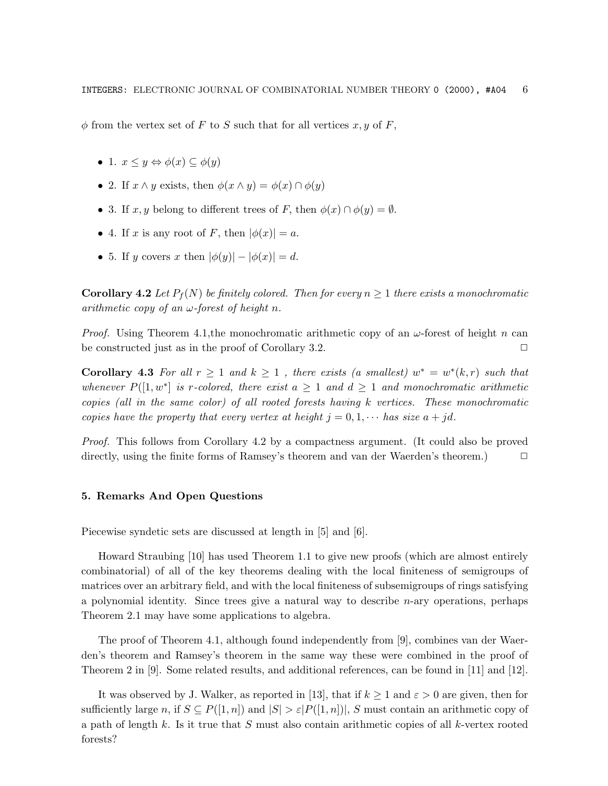$\phi$  from the vertex set of *F* to *S* such that for all vertices *x, y* of *F*,

- 1.  $x \leq y \Leftrightarrow \phi(x) \subseteq \phi(y)$
- 2. If  $x \wedge y$  exists, then  $\phi(x \wedge y) = \phi(x) \cap \phi(y)$
- 3. If  $x, y$  belong to different trees of *F*, then  $\phi(x) \cap \phi(y) = \emptyset$ .
- 4. If *x* is any root of *F*, then  $|\phi(x)| = a$ .
- 5. If *y* covers *x* then  $|\phi(y)| |\phi(x)| = d$ .

**Corollary 4.2** Let  $P_f(N)$  be finitely colored. Then for every  $n \geq 1$  there exists a monochromatic arithmetic copy of an *ω*-forest of height *n*.

Proof. Using Theorem 4.1,the monochromatic arithmetic copy of an *ω*-forest of height *n* can be constructed just as in the proof of Corollary 3.2.  $\Box$ 

**Corollary 4.3** For all  $r \geq 1$  and  $k \geq 1$ , there exists (a smallest)  $w^* = w^*(k,r)$  such that whenever  $P([1, w^*]$  is r-colored, there exist  $a \geq 1$  and  $d \geq 1$  and monochromatic arithmetic copies (all in the same color) of all rooted forests having *k* vertices. These monochromatic copies have the property that every vertex at height  $j = 0, 1, \cdots$  has size  $a + jd$ .

Proof. This follows from Corollary 4.2 by a compactness argument. (It could also be proved directly, using the finite forms of Ramsey's theorem and van der Waerden's theorem.) □

## **5. Remarks And Open Questions**

Piecewise syndetic sets are discussed at length in [5] and [6].

Howard Straubing [10] has used Theorem 1.1 to give new proofs (which are almost entirely combinatorial) of all of the key theorems dealing with the local finiteness of semigroups of matrices over an arbitrary field, and with the local finiteness of subsemigroups of rings satisfying a polynomial identity. Since trees give a natural way to describe *n*-ary operations, perhaps Theorem 2.1 may have some applications to algebra.

The proof of Theorem 4.1, although found independently from [9], combines van der Waerden's theorem and Ramsey's theorem in the same way these were combined in the proof of Theorem 2 in [9]. Some related results, and additional references, can be found in [11] and [12].

It was observed by J. Walker, as reported in [13], that if  $k \geq 1$  and  $\varepsilon > 0$  are given, then for sufficiently large *n*, if  $S \subseteq P([1, n])$  and  $|S| > \varepsilon |P([1, n])|$ , *S* must contain an arithmetic copy of a path of length *k*. Is it true that *S* must also contain arithmetic copies of all *k*-vertex rooted forests?